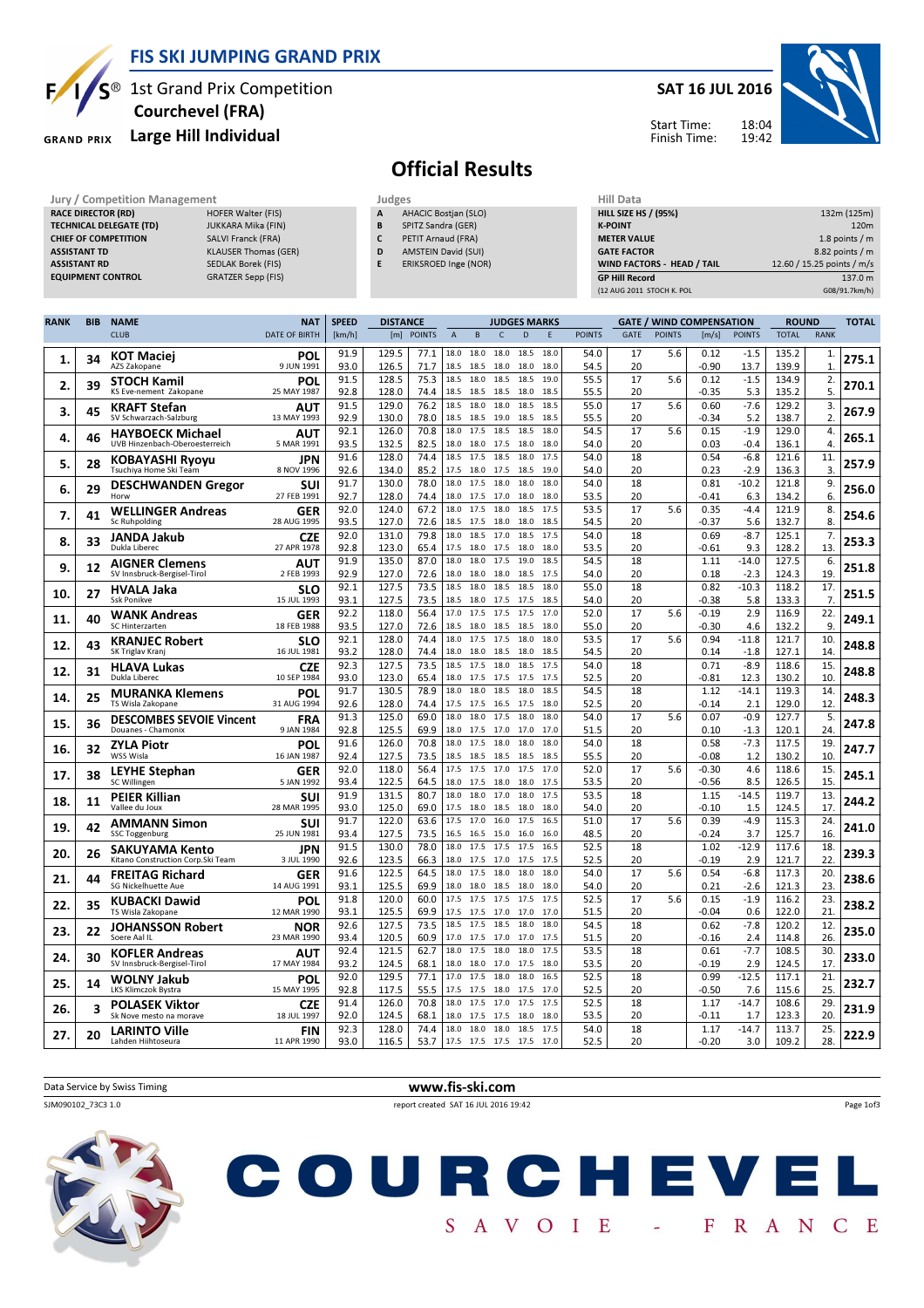

## $S^{\circledast}$  1st Grand Prix Competition Courchevel (FRA)

### GRAND PRIX Large Hill Individual

#### SAT 16 JUL 2016



Start Time: Finish Time:

# Official Results

Jury / Competition Management **Judges** Judges Judges Hill Data<br> **RACE DIRECTOR (RD)** HILL SIZE HOFER Walter (FIS) **A AHACIC Bostjan (SLO)** HILL SIZE HILL SIZE H **RACE DIRECTOR (RD)** TECHNICAL DELEGATE (TD) JUKKARA Mika (FIN) CHIEF OF COMPETITION SALVI Franck (FRA) ASSISTANT TD **KLAUSER Thomas** (GER) ASSISTANT RD SEDLAK Borek (FIS) EQUIPMENT CONTROL GRATZER Sepp (FIS) AHACIC Bostjan (SLO) **B** SPITZ Sandra (GER) C PETIT Arnaud (FRA) D AMSTEIN David (SUI) E ERIKSROED Inge (NOR) HILL SIZE HS / (95%) 132m (125m) **K-POINT** 220m METER VALUE 1.8 points / m GATE FACTOR 8.82 points / m WIND FACTORS - HEAD / TAIL 12.60 / 15.25 points / m/s GP Hill Record 137.0 m (12 AUG 2011 STOCH K. POL G08/91.7km/h) RANK BIB NAME NAT SPEED **DISTANCE** JUDGES MARKS GATE / WIND COMPENSATION ROUND TOTAL

|     |    | <b>CLUB</b>                                          | <b>DATE OF BIRTH</b>      | [km/h]       | [m]            | <b>POINTS</b> | A            | B                   | C            | D            | F            | <b>POINTS</b> | <b>GATE</b> | <b>POINTS</b> | [m/s]           | <b>POINTS</b>     | <b>TOTAL</b>   | <b>RANK</b>  |       |
|-----|----|------------------------------------------------------|---------------------------|--------------|----------------|---------------|--------------|---------------------|--------------|--------------|--------------|---------------|-------------|---------------|-----------------|-------------------|----------------|--------------|-------|
|     | 34 | <b>KOT Maciej</b>                                    | POL                       | 91.9         | 129.5          | 77.1          | 18.0         | 18.0                | 18.0         | 18.5         | 18.0         | 54.0          | 17          | 5.6           | 0.12            | $-1.5$            | 135.2          | 1.           | 275.1 |
| 1.  |    | AZS Zakopane                                         | 9 JUN 1991                | 93.0         | 126.5          | 71.7          | 18.5         | 18.5                | 18.0         | 18.0         | 18.0         | 54.5          | 20          |               | $-0.90$         | 13.7              | 139.9          | $\mathbf{1}$ |       |
| 2.  | 39 | <b>STOCH Kamil</b>                                   | POL                       | 91.5         | 128.5          | 75.3          | 18.5         | 18.0                | 18.5         | 18.5         | 19.0         | 55.5          | 17          | 5.6           | 0.12            | $-1.5$            | 134.9          | 2.           | 270.1 |
|     |    | KS Eve-nement Zakopane                               | 25 MAY 1987               | 92.8<br>91.5 | 128.0<br>129.0 | 74.4<br>76.2  | 18.5<br>18.5 | 18.5<br>18.0        | 18.5<br>18.0 | 18.0<br>18.5 | 18.5<br>18.5 | 55.5<br>55.0  | 20<br>17    | 5.6           | $-0.35$<br>0.60 | 5.3<br>$-7.6$     | 135.2          | 5.           |       |
| 3.  | 45 | <b>KRAFT Stefan</b><br>SV Schwarzach-Salzburg        | AUT<br>13 MAY 1993        | 92.9         | 130.0          | 78.0          | 18.5         | 18.5                | 19.0         | 18.5         | 18.5         | 55.5          | 20          |               | $-0.34$         | 5.2               | 129.2<br>138.7 | 3.<br>2.     | 267.9 |
|     |    | <b>HAYBOECK Michael</b>                              | AUT                       | 92.1         | 126.0          | 70.8          | 18.0         | 17.5                | 18.5         | 18.5         | 18.0         | 54.5          | 17          | 5.6           | 0.15            | $-1.9$            | 129.0          | 4.           |       |
| 4.  | 46 | UVB Hinzenbach-Oberoesterreich                       | 5 MAR 1991                | 93.5         | 132.5          | 82.5          | 18.0         | 18.0                | 17.5         | 18.0         | 18.0         | 54.0          | 20          |               | 0.03            | $-0.4$            | 136.1          | 4.           | 265.1 |
|     |    | KOBAYASHI Ryoyu                                      | <b>JPN</b>                | 91.6         | 128.0          | 74.4          | 18.5         | 17.5                | 18.5         | 18.0         | 17.5         | 54.0          | 18          |               | 0.54            | $-6.8$            | 121.6          | 11.          | 257.9 |
| 5.  | 28 | Tsuchiya Home Ski Team                               | 8 NOV 1996                | 92.6         | 134.0          | 85.2          | 17.5         | 18.0 17.5           |              | 18.5         | 19.0         | 54.0          | 20          |               | 0.23            | $-2.9$            | 136.3          | 3.           |       |
| 6.  | 29 | <b>DESCHWANDEN Gregor</b>                            | SUI                       | 91.7         | 130.0          | 78.0          | 18.0         | 17.5                | 18.0         | 18.0         | 18.0         | 54.0          | 18          |               | 0.81            | $-10.2$           | 121.8          | 9.           | 256.0 |
|     |    | Horw                                                 | 27 FEB 1991               | 92.7         | 128.0          | 74.4          | 18.0         | 17.5                | 17.0         | 18.0         | 18.0         | 53.5          | 20          |               | $-0.41$         | 6.3               | 134.2          | 6.           |       |
| 7.  | 41 | <b>WELLINGER Andreas</b>                             | GER                       | 92.0         | 124.0          | 67.2          | 18.0<br>18.5 | 17.5                | 18.0         | 18.5         | 17.5         | 53.5          | 17          | 5.6           | 0.35            | $-4.4$            | 121.9          | 8.           | 254.6 |
|     |    | Sc Ruhpolding                                        | 28 AUG 1995               | 93.5<br>92.0 | 127.0<br>131.0 | 72.6<br>79.8  | 18.0         | 17.5<br>18.5        | 18.0<br>17.0 | 18.0<br>18.5 | 18.5<br>17.5 | 54.5<br>54.0  | 20<br>18    |               | -0.37<br>0.69   | 5.6<br>$-8.7$     | 132.7<br>125.1 | 8.<br>7.     |       |
| 8.  | 33 | JANDA Jakub<br>Dukla Liberec                         | <b>CZE</b><br>27 APR 1978 | 92.8         | 123.0          | 65.4          | 17.5         | 18.0                | 17.5         | 18.0         | 18.0         | 53.5          | 20          |               | $-0.61$         | 9.3               | 128.2          | 13           | 253.3 |
|     |    | <b>AIGNER Clemens</b>                                | AUT                       | 91.9         | 135.0          | 87.0          | 18.0         | 18.0                | 17.5         | 19.0         | 18.5         | 54.5          | 18          |               | 1.11            | $-14.0$           | 127.5          | 6.           |       |
| 9.  | 12 | SV Innsbruck-Bergisel-Tirol                          | 2 FEB 1993                | 92.9         | 127.0          | 72.6          | 18.0         | 18.0                | 18.0         | 18.5         | 17.5         | 54.0          | 20          |               | 0.18            | $-2.3$            | 124.3          | 19           | 251.8 |
| 10. | 27 | <b>HVALA Jaka</b>                                    | <b>SLO</b>                | 92.1         | 127.5          | 73.5          | 18.5         | 18.0                | 18.5         | 18.5         | 18.0         | 55.0          | 18          |               | 0.82            | $-10.3$           | 118.2          | 17.          | 251.5 |
|     |    | <b>Ssk Ponikve</b>                                   | 15 JUL 1993               | 93.1         | 127.5          | 73.5          | 18.5         | 18.0                | 17.5         | 17.5         | 18.5         | 54.0          | 20          |               | $-0.38$         | 5.8               | 133.3          | 7.           |       |
| 11. | 40 | <b>WANK Andreas</b>                                  | <b>GER</b>                | 92.2         | 118.0          | 56.4          | 17.0         | 17.5                | 17.5         | 17.5         | 17.0         | 52.0          | 17          | 5.6           | $-0.19$         | 2.9               | 116.9          | 22.          | 249.1 |
|     |    | SC Hinterzarten                                      | 18 FEB 1988               | 93.5         | 127.0          | 72.6          | 18.5         | 18.0<br>17.5        | 18.5<br>17.5 | 18.5         | 18.0<br>18.0 | 55.0          | 20          |               | $-0.30$         | 4.6               | 132.2          | 9            |       |
| 12. | 43 | <b>KRANJEC Robert</b><br>SK Triglav Kranj            | <b>SLO</b><br>16 JUL 1981 | 92.1<br>93.2 | 128.0<br>128.0 | 74.4<br>74.4  | 18.0<br>18.0 | 18.0                | 18.5         | 18.0<br>18.0 | 18.5         | 53.5<br>54.5  | 17<br>20    | 5.6           | 0.94<br>0.14    | $-11.8$<br>$-1.8$ | 121.7<br>127.1 | 10<br>14     | 248.8 |
|     |    |                                                      | <b>CZE</b>                | 92.3         | 127.5          | 73.5          | 18.5         | 17.5                | 18.0         | 18.5         | 17.5         | 54.0          | 18          |               | 0.71            | $-8.9$            | 118.6          | 15.          |       |
| 12. | 31 | <b>HLAVA Lukas</b><br>Dukla Liberec                  | 10 SEP 1984               | 93.0         | 123.0          | 65.4          | 18.0         | 17.5                | 17.5         | 17.5         | 17.5         | 52.5          | 20          |               | $-0.81$         | 12.3              | 130.2          | 10           | 248.8 |
|     |    | <b>MURANKA Klemens</b>                               | POL                       | 91.7         | 130.5          | 78.9          | 18.0         | 18.0                | 18.5         | 18.0         | 18.5         | 54.5          | 18          |               | 1.12            | $-14.1$           | 119.3          | 14           |       |
| 14. | 25 | TS Wisla Zakopane                                    | 31 AUG 1994               | 92.6         | 128.0          | 74.4          | 17.5         | 17.5                | 16.5         | 17.5         | 18.0         | 52.5          | 20          |               | $-0.14$         | 2.1               | 129.0          | 12           | 248.3 |
| 15. | 36 | <b>DESCOMBES SEVOIE Vincent</b>                      | FRA                       | 91.3         | 125.0          | 69.0          | 18.0         | 18.0                | 17.5         | 18.0         | 18.0         | 54.0          | 17          | 5.6           | 0.07            | $-0.9$            | 127.7          | 5.           | 247.8 |
|     |    | Douanes - Chamonix                                   | 9 JAN 1984                | 92.8         | 125.5          | 69.9          | 18.0         | 17.5                | 17.0         | 17.0         | 17.0         | 51.5          | 20          |               | 0.10            | $-1.3$            | 120.1          | 24           |       |
| 16. | 32 | <b>ZYLA Piotr</b><br>WSS Wisla                       | POL<br>16 JAN 1987        | 91.6<br>92.4 | 126.0<br>127.5 | 70.8<br>73.5  | 18.0<br>18.5 | 17.5<br>18.5        | 18.0<br>18.5 | 18.0<br>18.5 | 18.0<br>18.5 | 54.0<br>55.5  | 18<br>20    |               | 0.58<br>$-0.08$ | $-7.3$<br>1.2     | 117.5<br>130.2 | 19.<br>10    | 247.7 |
|     |    |                                                      | GER                       | 92.0         | 118.0          | 56.4          | 17.5         | 17.5                | 17.0         | 17.5         | 17.0         | 52.0          | 17          | 5.6           | $-0.30$         | 4.6               | 118.6          | 15.          |       |
| 17  | 38 | <b>LEYHE Stephan</b><br>SC Willingen                 | 5 JAN 1992                | 93.4         | 122.5          | 64.5          | 18.0         | 17.5                | 18.0         | 18.0         | 17.5         | 53.5          | 20          |               | $-0.56$         | 8.5               | 126.5          | 15           | 245.1 |
|     |    | <b>PEIER Killian</b>                                 | SUI                       | 91.9         | 131.5          | 80.7          | 18.0         | 18.0                | 17.0         | 18.0         | 17.5         | 53.5          | 18          |               | 1.15            | $-14.5$           | 119.7          | 13.          |       |
| 18. | 11 | Vallee du Joux                                       | 28 MAR 1995               | 93.0         | 125.0          | 69.0          | 17.5         | 18.0                | 18.5         | 18.0         | 18.0         | 54.0          | 20          |               | $-0.10$         | 1.5               | 124.5          | 17.          | 244.2 |
| 19  | 42 | <b>AMMANN Simon</b>                                  | SUI                       | 91.7         | 122.0          | 63.6          | 17.5         | 17.0                | 16.0         | 17.5         | 16.5         | 51.0          | 17          | 5.6           | 0.39            | $-4.9$            | 115.3          | 24           | 241.0 |
|     |    | <b>SSC Toggenburg</b>                                | 25 JUN 1981               | 93.4         | 127.5          | 73.5          | 16.5         | 16.5                | 15.0         | 16.0         | 16.0         | 48.5          | 20          |               | -0.24           | 3.7               | 125.7          | 16           |       |
| 20. | 26 | SAKUYAMA Kento<br>Kitano Construction Corp. Ski Team | JPN<br>3 JUL 1990         | 91.5<br>92.6 | 130.0<br>123.5 | 78.0<br>66.3  | 18.0<br>18.0 | 17.5<br>17.5        | 17.5<br>17.0 | 17.5<br>17.5 | 16.5<br>17.5 | 52.5<br>52.5  | 18<br>20    |               | 1.02<br>$-0.19$ | $-12.9$<br>2.9    | 117.6<br>121.7 | 18.<br>22    | 239.3 |
|     |    |                                                      |                           | 91.6         | 122.5          | 64.5          | 18.0         | 17.5                | 18.0         | 18.0         | 18.0         | 54.0          | 17          | 5.6           | 0.54            | $-6.8$            | 117.3          | 20           |       |
| 21  | 44 | <b>FREITAG Richard</b><br>SG Nickelhuette Aue        | GER<br>14 AUG 1991        | 93.1         | 125.5          | 69.9          | 18.0         | 18.0                | 18.5         | 18.0         | 18.0         | 54.0          | 20          |               | 0.21            | $-2.6$            | 121.3          | 23           | 238.6 |
|     |    | <b>KUBACKI Dawid</b>                                 | POL                       | 91.8         | 120.0          | 60.0          | 17.5         | 17.5                | 17.5         | 17.5         | 17.5         | 52.5          | 17          | 5.6           | 0.15            | $-1.9$            | 116.2          | 23.          |       |
| 22. | 35 | TS Wisla Zakopane                                    | 12 MAR 1990               | 93.1         | 125.5          | 69.9          | 17.5         | 17.5                | 17.0         | 17.0         | 17.0         | 51.5          | 20          |               | $-0.04$         | 0.6               | 122.0          | 21           | 238.2 |
| 23. | 22 | <b>JOHANSSON Robert</b>                              | <b>NOR</b>                | 92.6         | 127.5          | 73.5          | 18.5         | 17.5                | 18.5         | 18.0         | 18.0         | 54.5          | 18          |               | 0.62            | $-7.8$            | 120.2          | 12.          | 235.0 |
|     |    | Soere Aal IL                                         | 23 MAR 1990               | 93.4         | 120.5          | 60.9          | 17.0         | 17.5                | 17.0         | 17.0         | 17.5         | 51.5          | 20          |               | $-0.16$         | 2.4               | 114.8          | 26.          |       |
| 24. | 30 | <b>KOFLER Andreas</b>                                | AUT                       | 92.4         | 121.5          | 62.7          | 18.0         | 17.5                | 18.0         | 18.0         | 17.5         | 53.5          | 18          |               | 0.61            | $-7.7$            | 108.5          | 30           | 233.0 |
|     |    | SV Innsbruck-Bergisel-Tirol                          | 17 MAY 1984               | 93.2<br>92.0 | 124.5<br>129.5 | 68.1<br>77.1  | 18.0<br>17.0 | 18.0<br>17.5        | 17.0<br>18.0 | 17.5<br>18.0 | 18.0<br>16.5 | 53.5<br>52.5  | 20<br>18    |               | $-0.19$<br>0.99 | 2.9<br>$-12.5$    | 124.5<br>117.1 | 17<br>21     |       |
| 25  | 14 | <b>WOLNY Jakub</b><br>LKS Klimczok Bystra            | POL<br>15 MAY 1995        | 92.8         | 117.5          | 55.5          | 17.5         | 17.5                | 18.0         | 17.5         | 17.0         | 52.5          | 20          |               | $-0.50$         | 7.6               | 115.6          | 25           | 232.7 |
|     |    | <b>POLASEK Viktor</b>                                | <b>CZE</b>                | 91.4         | 126.0          | 70.8          | 18.0         | 17.5                | 17.0         | 17.5         | 17.5         | 52.5          | 18          |               | 1.17            | $-14.7$           | 108.6          | 29           |       |
| 26. | 3  | Sk Nove mesto na morave                              | 18 JUL 1997               | 92.0         | 124.5          | 68.1          | 18.0         | 17.5                | 17.5         | 18.0         | 18.0         | 53.5          | 20          |               | -0.11           | 1.7               | 123.3          | 20           | 231.9 |
| 27. | 20 | <b>LARINTO Ville</b>                                 | FIN                       | 92.3         | 128.0          | 74.4          | 18.0         | 18.0                | 18.0         | 18.5         | 17.5         | 54.0          | 18          |               | 1.17            | $-14.7$           | 113.7          | 25.          | 222.9 |
|     |    | Lahden Hiihtoseura                                   | 11 APR 1990               | 93.0         | 116.5          | 53.7          |              | 17.5 17.5 17.5 17.5 |              |              | 17.0         | 52.5          | 20          |               | $-0.20$         | 3.0               | 109.2          | 28.          |       |

| Data Service by Swiss Timing | www.fis-ski.com                                |           |
|------------------------------|------------------------------------------------|-----------|
| SJM090102 73C3 1.0           | report created SAT 16 JUL 2016 19:42           | Page 1of3 |
|                              | HE BOYAL<br><b>TENT</b><br>.<br>$\blacksquare$ |           |

SAVOIE - FRANCE

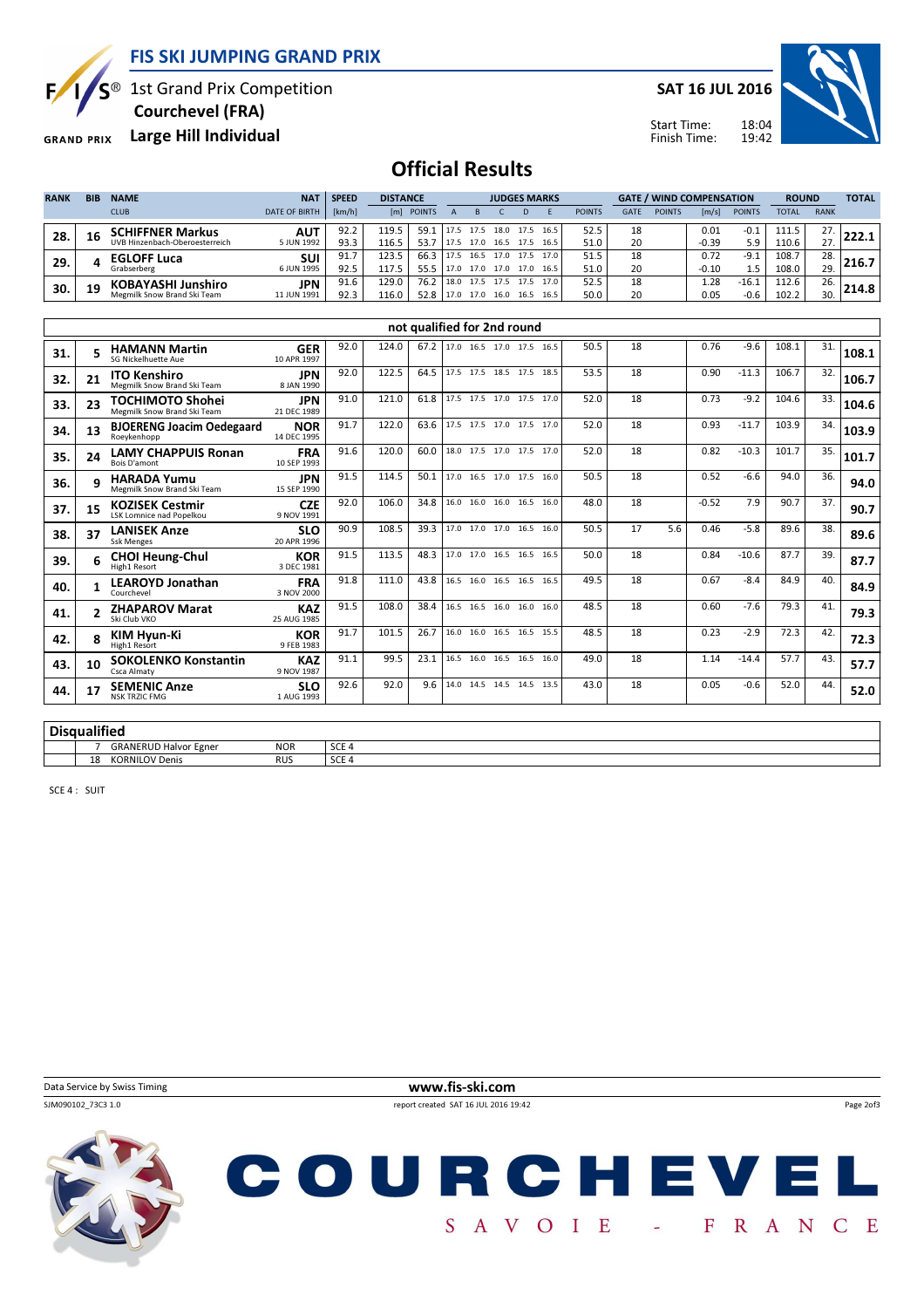FIS SKI JUMPING GRAND PRIX



S<sup>®</sup> 1st Grand Prix Competition

Courchevel (FRA)

GRAND PRIX Large Hill Individual

SAT 16 JUL 2016



18:04 19:42 Start Time: Finish Time:

# Official Results

| <b>RANK</b> | <b>BIB</b> | <b>NAME</b>                    | NA <sup>®</sup>      | <b>SPEED</b> | <b>DISTANCE</b> |            |      | <b>JUDGES MARKS</b> |      |      |      |               | <b>GATE / WIND COMPENSATION</b> |               |                       |               | <b>ROUND</b> |             | <b>TOTAL</b> |
|-------------|------------|--------------------------------|----------------------|--------------|-----------------|------------|------|---------------------|------|------|------|---------------|---------------------------------|---------------|-----------------------|---------------|--------------|-------------|--------------|
|             |            | <b>CLUB</b>                    | <b>DATE OF BIRTH</b> | [km/h]       |                 | [m] POINTS |      |                     |      |      |      | <b>POINTS</b> | GATE                            | <b>POINTS</b> | $\lfloor m/s \rfloor$ | <b>POINTS</b> | <b>TOTAL</b> | <b>RANK</b> |              |
| 28.         | 16         | <b>SCHIFFNER Markus</b>        | AUT                  | 92.2         | 119.5           | 59.1       |      | 17.5                | 18.0 | 17.5 | 16.5 | 52.5          | 18                              |               | 0.01                  | $-0.1$        | 111.5        | 27.         |              |
|             |            | UVB Hinzenbach-Oberoesterreich | 5 JUN 1992           | 93.3         | 116.5           | 53.7       |      | 17.0                | 16.5 | 17.5 | 16.5 | 51.0          | 20                              |               | $-0.39$               | 5.9           | 110.6        | 27.         |              |
| 29.         |            | <b>EGLOFF Luca</b>             | <b>SUI</b>           | 91.7         | 123.5           | 66.3       |      | 16.5                | 17.0 | 17.5 | 17.0 | 51.5          | 18                              |               | 0.72                  | $-9.1$        | 108.7        | 28.         |              |
|             |            | Grabserberg                    | 6 JUN 1995           | 92.5         | 117.5           | 55.5       | 17.0 | 17.0                | 17.0 | 17.0 | 16.5 | 51.0          | 20                              |               | $-0.10$               | $1.5\,$       | 108.0        | 29.         |              |
|             |            | KOBAYASHI Junshiro             | <b>JPN</b>           | 91.6         | 129.0           | 76.2       | 18.0 | 17.5                | 17.5 | 17.5 | 17.0 | 52.5          | 18                              |               | 1.28                  | $-16.1$       | 112.6        | 26.         | 214.8        |
| 30.         | 19         | Megmilk Snow Brand Ski Team    | 11 JUN 1991          | 92.3         | 116.0           | 52.8       | 17.0 | 17.0                | 16.0 | 16.5 | 16.5 | 50.0          | 20                              |               | 0.05                  | $-0.6$        | 102.2        | 30.         |              |

|     |                 |                                                           |                           |      |       | not qualified for 2nd round |  |  |                          |  |  |      |    |     |         |         |       |     |       |
|-----|-----------------|-----------------------------------------------------------|---------------------------|------|-------|-----------------------------|--|--|--------------------------|--|--|------|----|-----|---------|---------|-------|-----|-------|
| 31. |                 | <b>HAMANN Martin</b><br><b>SG Nickelhuette Aue</b>        | <b>GER</b><br>10 APR 1997 | 92.0 | 124.0 | 67.2                        |  |  | 17.0 16.5 17.0 17.5 16.5 |  |  | 50.5 | 18 |     | 0.76    | $-9.6$  | 108.1 | 31. | 108.1 |
| 32. | 21              | <b>ITO Kenshiro</b><br>Megmilk Snow Brand Ski Team        | <b>JPN</b><br>8 JAN 1990  | 92.0 | 122.5 | 64.5                        |  |  | 17.5 17.5 18.5 17.5 18.5 |  |  | 53.5 | 18 |     | 0.90    | $-11.3$ | 106.7 | 32. | 106.7 |
| 33. | 23              | <b>TOCHIMOTO Shohei</b><br>Megmilk Snow Brand Ski Team    | <b>JPN</b><br>21 DEC 1989 | 91.0 | 121.0 | 61.8                        |  |  | 17.5 17.5 17.0 17.5 17.0 |  |  | 52.0 | 18 |     | 0.73    | $-9.2$  | 104.6 | 33. | 104.6 |
| 34. | 13              | <b>BJOERENG Joacim Oedegaard</b><br>Roeykenhopp           | <b>NOR</b><br>14 DEC 1995 | 91.7 | 122.0 | 63.6                        |  |  | 17.5 17.5 17.0 17.5 17.0 |  |  | 52.0 | 18 |     | 0.93    | $-11.7$ | 103.9 | 34. | 103.9 |
| 35. | 24              | <b>LAMY CHAPPUIS Ronan</b><br><b>Bois D'amont</b>         | <b>FRA</b><br>10 SEP 1993 | 91.6 | 120.0 | 60.0                        |  |  | 18.0 17.5 17.0 17.5 17.0 |  |  | 52.0 | 18 |     | 0.82    | $-10.3$ | 101.7 | 35. | 101.7 |
| 36. |                 | <b>HARADA Yumu</b><br>Megmilk Snow Brand Ski Team         | <b>JPN</b><br>15 SEP 1990 | 91.5 | 114.5 | 50.1                        |  |  | 17.0 16.5 17.0 17.5 16.0 |  |  | 50.5 | 18 |     | 0.52    | $-6.6$  | 94.0  | 36. | 94.0  |
| 37. | 15              | <b>KOZISEK Cestmir</b><br><b>LSK Lomnice nad Popelkou</b> | <b>CZE</b><br>9 NOV 1991  | 92.0 | 106.0 | 34.8                        |  |  | 16.0 16.0 16.0 16.5 16.0 |  |  | 48.0 | 18 |     | $-0.52$ | 7.9     | 90.7  | 37. | 90.7  |
| 38. | 37              | <b>LANISEK Anze</b><br><b>Ssk Menges</b>                  | <b>SLO</b><br>20 APR 1996 | 90.9 | 108.5 | 39.3                        |  |  | 17.0 17.0 17.0 16.5 16.0 |  |  | 50.5 | 17 | 5.6 | 0.46    | $-5.8$  | 89.6  | 38. | 89.6  |
| 39. |                 | <b>CHOI Heung-Chul</b><br>High1 Resort                    | <b>KOR</b><br>3 DEC 1981  | 91.5 | 113.5 | 48.3                        |  |  | 17.0 17.0 16.5 16.5 16.5 |  |  | 50.0 | 18 |     | 0.84    | $-10.6$ | 87.7  | 39. | 87.7  |
| 40. |                 | <b>LEAROYD Jonathan</b><br>Courchevel                     | <b>FRA</b><br>3 NOV 2000  | 91.8 | 111.0 | 43.8                        |  |  | 16.5 16.0 16.5 16.5 16.5 |  |  | 49.5 | 18 |     | 0.67    | $-8.4$  | 84.9  | 40. | 84.9  |
| 41. |                 | <b>ZHAPAROV Marat</b><br>Ski Club VKO                     | <b>KAZ</b><br>25 AUG 1985 | 91.5 | 108.0 | 38.4                        |  |  | 16.5 16.5 16.0 16.0 16.0 |  |  | 48.5 | 18 |     | 0.60    | $-7.6$  | 79.3  | 41. | 79.3  |
| 42. |                 | KIM Hyun-Ki<br>High1 Resort                               | <b>KOR</b><br>9 FEB 1983  | 91.7 | 101.5 | 26.7                        |  |  | 16.0 16.0 16.5 16.5 15.5 |  |  | 48.5 | 18 |     | 0.23    | $-2.9$  | 72.3  | 42. | 72.3  |
| 43. | 10              | <b>SOKOLENKO Konstantin</b><br>Csca Almaty                | <b>KAZ</b><br>9 NOV 1987  | 91.1 | 99.5  | 23.1                        |  |  | 16.5 16.0 16.5 16.5 16.0 |  |  | 49.0 | 18 |     | 1.14    | $-14.4$ | 57.7  | 43. | 57.7  |
| 44. | 17              | <b>SEMENIC Anze</b><br><b>NSK TRZIC FMG</b>               | <b>SLO</b><br>1 AUG 1993  | 92.6 | 92.0  | 9.6                         |  |  | 14.0 14.5 14.5 14.5 13.5 |  |  | 43.0 | 18 |     | 0.05    | $-0.6$  | 52.0  | 44. | 52.0  |
|     | - -<br>$\cdots$ |                                                           |                           |      |       |                             |  |  |                          |  |  |      |    |     |         |         |       |     |       |

| Disqualified |                              |            |         |
|--------------|------------------------------|------------|---------|
|              | <b>GRANERUD Halvor Egner</b> | <b>NOR</b> | l SCE 4 |

18 KORNILOV Denis RUS RUS SCE 4

SCE 4 : SUIT

Data Service by Swiss Timing **www.fis-ski.com**<br>
SIM090102 73C3 1.0<br>
TREPORT CREATED AT 16 JUL 2016 15 report created SAT 16 JUL 2016 19:42

Page 2of3